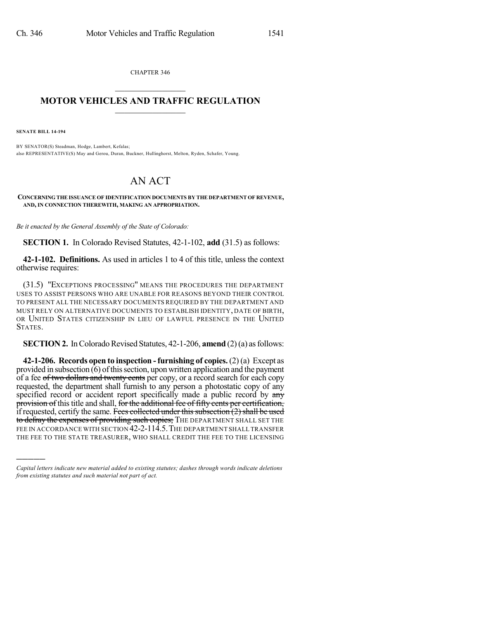CHAPTER 346

## $\mathcal{L}_\text{max}$  . The set of the set of the set of the set of the set of the set of the set of the set of the set of the set of the set of the set of the set of the set of the set of the set of the set of the set of the set **MOTOR VEHICLES AND TRAFFIC REGULATION**  $\frac{1}{2}$  ,  $\frac{1}{2}$  ,  $\frac{1}{2}$  ,  $\frac{1}{2}$  ,  $\frac{1}{2}$  ,  $\frac{1}{2}$  ,  $\frac{1}{2}$

**SENATE BILL 14-194**

)))))

BY SENATOR(S) Steadman, Hodge, Lambert, Kefalas; also REPRESENTATIVE(S) May and Gerou, Duran, Buckner, Hullinghorst, Melton, Ryden, Schafer, Young.

## AN ACT

**CONCERNING THE ISSUANCE OF IDENTIFICATION DOCUMENTS BY THE DEPARTMENT OF REVENUE, AND, IN CONNECTION THEREWITH, MAKING AN APPROPRIATION.**

*Be it enacted by the General Assembly of the State of Colorado:*

**SECTION 1.** In Colorado Revised Statutes, 42-1-102, **add** (31.5) as follows:

**42-1-102. Definitions.** As used in articles 1 to 4 of this title, unless the context otherwise requires:

(31.5) "EXCEPTIONS PROCESSING" MEANS THE PROCEDURES THE DEPARTMENT USES TO ASSIST PERSONS WHO ARE UNABLE FOR REASONS BEYOND THEIR CONTROL TO PRESENT ALL THE NECESSARY DOCUMENTS REQUIRED BY THE DEPARTMENT AND MUST RELY ON ALTERNATIVE DOCUMENTS TO ESTABLISH IDENTITY, DATE OF BIRTH, OR UNITED STATES CITIZENSHIP IN LIEU OF LAWFUL PRESENCE IN THE UNITED STATES.

**SECTION 2.** In Colorado Revised Statutes, 42-1-206, **amend** (2)(a) as follows:

**42-1-206. Records open to inspection -furnishing of copies.** (2) (a) Except as provided in subsection  $\overline{(6)}$  of this section, upon written application and the payment of a fee of two dollars and twenty cents per copy, or a record search for each copy requested, the department shall furnish to any person a photostatic copy of any specified record or accident report specifically made a public record by any provision of this title and shall, for the additional fee of fifty cents per certification, if requested, certify the same. Fees collected under this subsection  $(2)$  shall be used to defray the expenses of providing such copies; THE DEPARTMENT SHALL SET THE FEE IN ACCORDANCE WITH SECTION 42-2-114.5. THE DEPARTMENT SHALL TRANSFER THE FEE TO THE STATE TREASURER, WHO SHALL CREDIT THE FEE TO THE LICENSING

*Capital letters indicate new material added to existing statutes; dashes through words indicate deletions from existing statutes and such material not part of act.*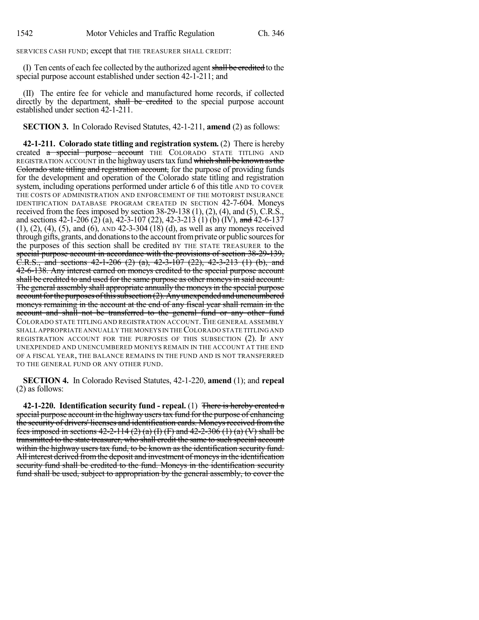SERVICES CASH FUND; except that THE TREASURER SHALL CREDIT:

(I) Ten cents of each fee collected by the authorized agent shall be credited to the special purpose account established under section 42-1-211; and

(II) The entire fee for vehicle and manufactured home records, if collected directly by the department, shall be credited to the special purpose account established under section 42-1-211.

**SECTION 3.** In Colorado Revised Statutes, 42-1-211, **amend** (2) as follows:

**42-1-211. Colorado state titling and registration system.** (2) There is hereby created a special purpose account THE COLORADO STATE TITLING AND REGISTRATION ACCOUNT in the highway users tax fund which shall be known as the Colorado state titling and registration account, for the purpose of providing funds for the development and operation of the Colorado state titling and registration system, including operations performed under article 6 of this title AND TO COVER THE COSTS OF ADMINISTRATION AND ENFORCEMENT OF THE MOTORIST INSURANCE IDENTIFICATION DATABASE PROGRAM CREATED IN SECTION 42-7-604. Moneys received from the fees imposed by section  $38-29-138$  (1), (2), (4), and (5), C.R.S., and sections 42-1-206 (2) (a), 42-3-107 (22), 42-3-213 (1) (b) (IV), and 42-6-137 (1), (2), (4), (5), and (6), AND 42-3-304 (18) (d), as well as any moneys received through gifts, grants, and donations to the account from private or public sources for the purposes of this section shall be credited BY THE STATE TREASURER to the special purpose account in accordance with the provisions of section 38-29-139,  $\overline{C.R.S.,}$  and sections 42-1-206 (2) (a), 42-3-107 (22), 42-3-213 (1) (b), and 42-6-138. Any interest earned on moneys credited to the special purpose account shall be credited to and used for the same purpose as other moneys in said account. The general assembly shall appropriate annually the moneys in the special purpose account for the purposes of this subsection (2). Any unexpended and unencumbered moneys remaining in the account at the end of any fiscal year shall remain in the account and shall not be transferred to the general fund or any other fund COLORADO STATE TITLING AND REGISTRATION ACCOUNT.THE GENERAL ASSEMBLY SHALL APPROPRIATE ANNUALLY THE MONEYS IN THECOLORADO STATE TITLING AND REGISTRATION ACCOUNT FOR THE PURPOSES OF THIS SUBSECTION (2). IF ANY UNEXPENDED AND UNENCUMBERED MONEYS REMAIN IN THE ACCOUNT AT THE END OF A FISCAL YEAR, THE BALANCE REMAINS IN THE FUND AND IS NOT TRANSFERRED TO THE GENERAL FUND OR ANY OTHER FUND.

**SECTION 4.** In Colorado Revised Statutes, 42-1-220, **amend** (1); and **repeal** (2) as follows:

**42-1-220. Identification security fund - repeal.** (1) There is hereby created a special purpose account in the highway userstax fund forthe purpose of enhancing the security of drivers' licenses and identification cards. Moneysreceived from the fees imposed in sections  $42-2-114$  (2) (a) (I) (F) and  $42-2-306$  (1) (a) (V) shall be transmitted to the state treasurer, who shall credit the same to such special account within the highway users tax fund, to be known as the identification security fund. All interest derived from the deposit and investment of moneys in the identification security fund shall be credited to the fund. Moneys in the identification security fund shall be used, subject to appropriation by the general assembly, to cover the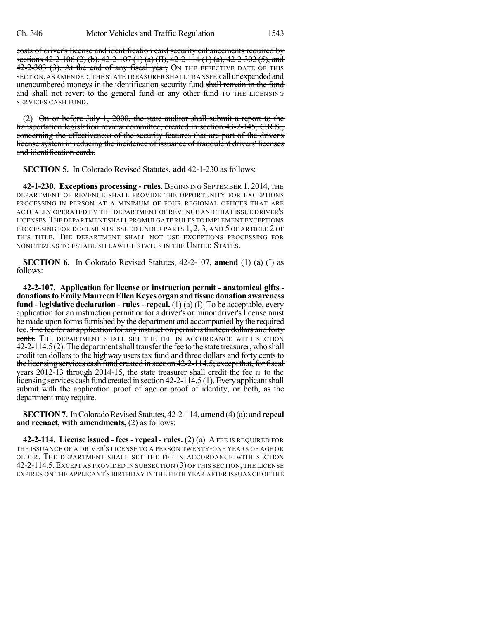costs of driver's license and identification card security enhancements required by sections  $42-2-106$  (2) (b),  $42-2-107$  (1) (a) (II),  $42-2-114$  (1) (a),  $42-2-302$  (5), and 42-2-303 (3). At the end of any fiscal year, ON THE EFFECTIVE DATE OF THIS SECTION, AS AMENDED, THE STATE TREASURER SHALL TRANSFER all unexpended and unencumbered moneys in the identification security fund shall remain in the fund and shall not revert to the general fund or any other fund TO THE LICENSING SERVICES CASH FUND.

(2) On or before July 1, 2008, the state auditor shall submit a report to the transportation legislation review committee, created in section 43-2-145, C.R.S., concerning the effectiveness of the security features that are part of the driver's license system in reducing the incidence of issuance of fraudulent drivers' licenses and identification cards.

**SECTION 5.** In Colorado Revised Statutes, **add** 42-1-230 as follows:

**42-1-230. Exceptions processing - rules.** BEGINNING SEPTEMBER 1, 2014, THE DEPARTMENT OF REVENUE SHALL PROVIDE THE OPPORTUNITY FOR EXCEPTIONS PROCESSING IN PERSON AT A MINIMUM OF FOUR REGIONAL OFFICES THAT ARE ACTUALLY OPERATED BY THE DEPARTMENT OF REVENUE AND THAT ISSUE DRIVER'S LICENSES.THE DEPARTMENT SHALL PROMULGATE RULES TO IMPLEMENT EXCEPTIONS PROCESSING FOR DOCUMENTS ISSUED UNDER PARTS 1, 2, 3, AND 5 OF ARTICLE 2 OF THIS TITLE. THE DEPARTMENT SHALL NOT USE EXCEPTIONS PROCESSING FOR NONCITIZENS TO ESTABLISH LAWFUL STATUS IN THE UNITED STATES.

**SECTION 6.** In Colorado Revised Statutes, 42-2-107, **amend** (1) (a) (I) as follows:

**42-2-107. Application for license or instruction permit - anatomical gifts donationstoEmilyMaureenEllenKeyes organandtissuedonationawareness fund - legislative declaration - rules - repeal.** (1) (a) (I) To be acceptable, every application for an instruction permit or for a driver's or minor driver's license must be made upon forms furnished by the department and accompanied by the required fee. The fee for an application for any instruction permit is thirteen dollars and forty cents. The DEPARTMENT SHALL SET THE FEE IN ACCORDANCE WITH SECTION 42-2-114.5(2).The departmentshall transferthe fee to the state treasurer, who shall credit ten dollars to the highway users tax fund and three dollars and forty cents to the licensing services cash fund created in section 42-2-114.5; except that, for fiscal years 2012-13 through 2014-15, the state treasurer shall credit the fee IT to the licensing services cash fund created in section 42-2-114.5 (1). Everyapplicantshall submit with the application proof of age or proof of identity, or both, as the department may require.

**SECTION 7.** In Colorado Revised Statutes, 42-2-114, **amend** (4)(a); and **repeal and reenact, with amendments,** (2) as follows:

**42-2-114. License issued - fees - repeal - rules.** (2) (a) A FEE IS REQUIRED FOR THE ISSUANCE OF A DRIVER'S LICENSE TO A PERSON TWENTY-ONE YEARS OF AGE OR OLDER. THE DEPARTMENT SHALL SET THE FEE IN ACCORDANCE WITH SECTION 42-2-114.5.EXCEPT AS PROVIDED IN SUBSECTION (3) OF THIS SECTION, THE LICENSE EXPIRES ON THE APPLICANT'S BIRTHDAY IN THE FIFTH YEAR AFTER ISSUANCE OF THE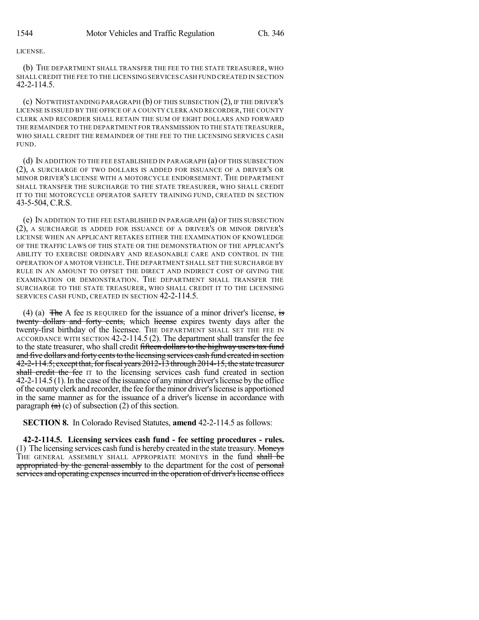## LICENSE.

(b) THE DEPARTMENT SHALL TRANSFER THE FEE TO THE STATE TREASURER, WHO SHALLCREDIT THE FEE TO THE LICENSING SERVICES CASH FUND CREATED IN SECTION 42-2-114.5.

(c) NOTWITHSTANDING PARAGRAPH (b) OF THIS SUBSECTION (2), IF THE DRIVER'S LICENSE IS ISSUED BY THE OFFICE OF A COUNTY CLERK AND RECORDER,THE COUNTY CLERK AND RECORDER SHALL RETAIN THE SUM OF EIGHT DOLLARS AND FORWARD THE REMAINDER TO THE DEPARTMENT FOR TRANSMISSION TO THE STATE TREASURER, WHO SHALL CREDIT THE REMAINDER OF THE FEE TO THE LICENSING SERVICES CASH FUND.

(d) IN ADDITION TO THE FEE ESTABLISHED IN PARAGRAPH (a) OF THIS SUBSECTION (2), A SURCHARGE OF TWO DOLLARS IS ADDED FOR ISSUANCE OF A DRIVER'S OR MINOR DRIVER'S LICENSE WITH A MOTORCYCLE ENDORSEMENT. THE DEPARTMENT SHALL TRANSFER THE SURCHARGE TO THE STATE TREASURER, WHO SHALL CREDIT IT TO THE MOTORCYCLE OPERATOR SAFETY TRAINING FUND, CREATED IN SECTION 43-5-504, C.R.S.

(e) IN ADDITION TO THE FEE ESTABLISHED IN PARAGRAPH (a) OF THIS SUBSECTION (2), A SURCHARGE IS ADDED FOR ISSUANCE OF A DRIVER'S OR MINOR DRIVER'S LICENSE WHEN AN APPLICANT RETAKES EITHER THE EXAMINATION OF KNOWLEDGE OF THE TRAFFIC LAWS OF THIS STATE OR THE DEMONSTRATION OF THE APPLICANT'S ABILITY TO EXERCISE ORDINARY AND REASONABLE CARE AND CONTROL IN THE OPERATION OF A MOTOR VEHICLE.THE DEPARTMENT SHALL SET THE SURCHARGE BY RULE IN AN AMOUNT TO OFFSET THE DIRECT AND INDIRECT COST OF GIVING THE EXAMINATION OR DEMONSTRATION. THE DEPARTMENT SHALL TRANSFER THE SURCHARGE TO THE STATE TREASURER, WHO SHALL CREDIT IT TO THE LICENSING SERVICES CASH FUND, CREATED IN SECTION 42-2-114.5.

(4) (a)  $\overline{z}$  The A fee IS REQUIRED for the issuance of a minor driver's license, is twenty dollars and forty cents, which license expires twenty days after the twenty-first birthday of the licensee. THE DEPARTMENT SHALL SET THE FEE IN ACCORDANCE WITH SECTION 42-2-114.5 (2). The department shall transfer the fee to the state treasurer, who shall credit fifteen dollars to the highway users tax fund and five dollars and forty cents to the licensing services cash fund created in section 42-2-114.5; except that, for fiscal years 2012-13 through 2014-15, the state treasurer shall credit the fee IT to the licensing services cash fund created in section 42-2-114.5 (1). In the case of the issuance of any minor driver's license by the office ofthe county clerk and recorder, the fee fortheminor driver'slicense is apportioned in the same manner as for the issuance of a driver's license in accordance with paragraph  $(a)$  (c) of subsection (2) of this section.

**SECTION 8.** In Colorado Revised Statutes, **amend** 42-2-114.5 as follows:

**42-2-114.5. Licensing services cash fund - fee setting procedures - rules.** (1) The licensing services cash fund is hereby created in the state treasury. Moneys THE GENERAL ASSEMBLY SHALL APPROPRIATE MONEYS in the fund shall be appropriated by the general assembly to the department for the cost of personal services and operating expenses incurred in the operation of driver's license offices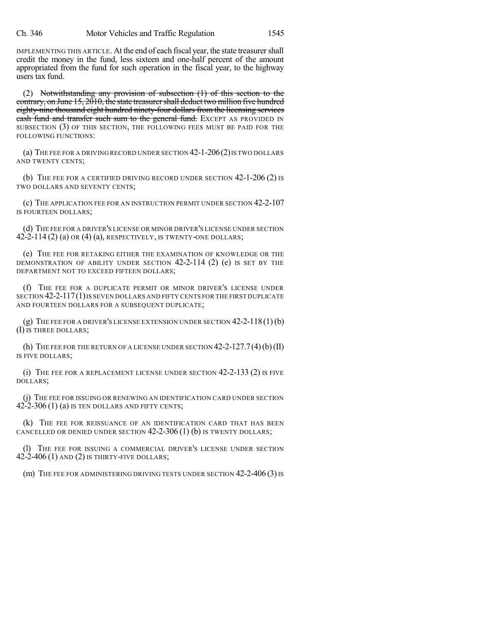IMPLEMENTING THIS ARTICLE. At the end of each fiscal year, the state treasurershall credit the money in the fund, less sixteen and one-half percent of the amount appropriated from the fund for such operation in the fiscal year, to the highway users tax fund.

(2) Notwithstanding any provision of subsection (1) of this section to the contrary, on June 15, 2010, the state treasurer shall deduct two million five hundred eighty-nine thousand eight hundred ninety-four dollars from the licensing services eash fund and transfer such sum to the general fund. EXCEPT AS PROVIDED IN SUBSECTION (3) OF THIS SECTION, THE FOLLOWING FEES MUST BE PAID FOR THE FOLLOWING FUNCTIONS:

(a) THE FEE FOR A DRIVING RECORD UNDER SECTION 42-1-206(2)IS TWO DOLLARS AND TWENTY CENTS;

(b) THE FEE FOR A CERTIFIED DRIVING RECORD UNDER SECTION 42-1-206 (2) IS TWO DOLLARS AND SEVENTY CENTS;

(c) THE APPLICATION FEE FOR AN INSTRUCTION PERMIT UNDER SECTION 42-2-107 IS FOURTEEN DOLLARS;

(d) THE FEE FOR A DRIVER'S LICENSE OR MINOR DRIVER'S LICENSE UNDER SECTION  $42-2-114(2)$  (a) OR  $(4)$  (a), RESPECTIVELY, IS TWENTY-ONE DOLLARS;

(e) THE FEE FOR RETAKING EITHER THE EXAMINATION OF KNOWLEDGE OR THE DEMONSTRATION OF ABILITY UNDER SECTION 42-2-114 (2) (e) IS SET BY THE DEPARTMENT NOT TO EXCEED FIFTEEN DOLLARS;

(f) THE FEE FOR A DUPLICATE PERMIT OR MINOR DRIVER'S LICENSE UNDER SECTION 42-2-117(1)IS SEVEN DOLLARS AND FIFTY CENTS FOR THE FIRST DUPLICATE AND FOURTEEN DOLLARS FOR A SUBSEQUENT DUPLICATE;

(g) THE FEE FOR A DRIVER'S LICENSE EXTENSION UNDER SECTION  $42-2-118(1)(b)$ (I) IS THREE DOLLARS;

(h) THE FEE FOR THE RETURN OF A LICENSE UNDER SECTION  $42-2-127.7(4)$  (b) (II) IS FIVE DOLLARS;

(i) THE FEE FOR A REPLACEMENT LICENSE UNDER SECTION 42-2-133 (2) IS FIVE DOLLARS;

(j) THE FEE FOR ISSUING OR RENEWING AN IDENTIFICATION CARD UNDER SECTION  $42-2-306(1)$  (a) IS TEN DOLLARS AND FIFTY CENTS;

(k) THE FEE FOR REISSUANCE OF AN IDENTIFICATION CARD THAT HAS BEEN CANCELLED OR DENIED UNDER SECTION  $42-2-306(1)$  (b) IS TWENTY DOLLARS;

(l) THE FEE FOR ISSUING A COMMERCIAL DRIVER'S LICENSE UNDER SECTION 42-2-406 (1) AND (2) IS THIRTY-FIVE DOLLARS;

(m) THE FEE FOR ADMINISTERING DRIVING TESTS UNDER SECTION 42-2-406 (3) IS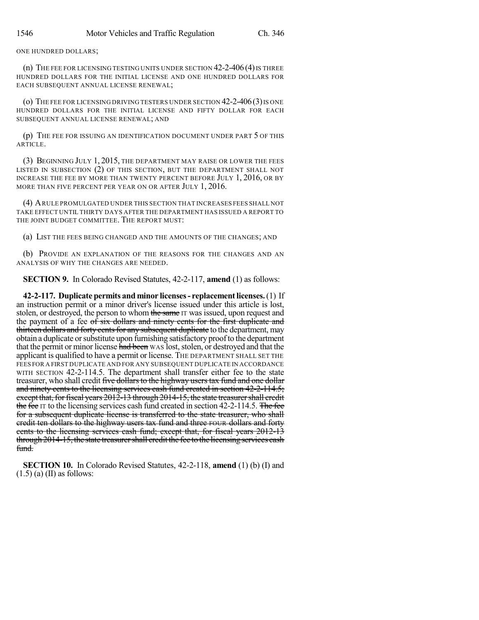ONE HUNDRED DOLLARS;

(n) THE FEE FOR LICENSING TESTING UNITS UNDER SECTION  $42-2-406(4)$  is three HUNDRED DOLLARS FOR THE INITIAL LICENSE AND ONE HUNDRED DOLLARS FOR EACH SUBSEQUENT ANNUAL LICENSE RENEWAL;

(o) THE FEE FOR LICENSING DRIVING TESTERS UNDER SECTION  $42$ -2-406 (3) IS ONE HUNDRED DOLLARS FOR THE INITIAL LICENSE AND FIFTY DOLLAR FOR EACH SUBSEQUENT ANNUAL LICENSE RENEWAL; AND

(p) THE FEE FOR ISSUING AN IDENTIFICATION DOCUMENT UNDER PART 5 OF THIS ARTICLE.

(3) BEGINNING JULY 1, 2015, THE DEPARTMENT MAY RAISE OR LOWER THE FEES LISTED IN SUBSECTION (2) OF THIS SECTION, BUT THE DEPARTMENT SHALL NOT INCREASE THE FEE BY MORE THAN TWENTY PERCENT BEFORE JULY 1, 2016, OR BY MORE THAN FIVE PERCENT PER YEAR ON OR AFTER JULY 1, 2016.

(4) ARULE PROMULGATED UNDER THIS SECTION THAT INCREASES FEES SHALL NOT TAKE EFFECT UNTIL THIRTY DAYS AFTER THE DEPARTMENT HAS ISSUED A REPORT TO THE JOINT BUDGET COMMITTEE. THE REPORT MUST:

(a) LIST THE FEES BEING CHANGED AND THE AMOUNTS OF THE CHANGES; AND

(b) PROVIDE AN EXPLANATION OF THE REASONS FOR THE CHANGES AND AN ANALYSIS OF WHY THE CHANGES ARE NEEDED.

**SECTION 9.** In Colorado Revised Statutes, 42-2-117, **amend** (1) as follows:

**42-2-117. Duplicate permits and minor licenses- replacementlicenses.**(1) If an instruction permit or a minor driver's license issued under this article is lost, stolen, or destroyed, the person to whom the same IT was issued, upon request and the payment of a fee of six dollars and ninety cents for the first duplicate and thirteen dollars and forty cents for any subsequent duplicate to the department, may obtain a duplicate or substitute upon furnishing satisfactory proof to the department that the permit or minor license had been WAS lost, stolen, or destroyed and that the applicant is qualified to have a permit or license. THE DEPARTMENT SHALL SET THE FEES FOR A FIRST DUPLICATE AND FOR ANY SUBSEQUENT DUPLICATE IN ACCORDANCE WITH SECTION 42-2-114.5. The department shall transfer either fee to the state treasurer, who shall credit five dollars to the highway users tax fund and one dollar and ninety cents to the licensing services cash fund created in section 42-2-114.5; except that, for fiscal years 2012-13 through 2014-15, the state treasurer shall credit the fee IT to the licensing services cash fund created in section  $42-2-114.5$ . The fee for a subsequent duplicate license is transferred to the state treasurer, who shall credit ten dollars to the highway users tax fund and three FOUR dollars and forty cents to the licensing services cash fund; except that, for fiscal years 2012-13 through 2014-15, the state treasurershall credit the fee to the licensing services cash fund.

**SECTION 10.** In Colorado Revised Statutes, 42-2-118, **amend** (1) (b) (I) and  $(1.5)$  (a) (II) as follows: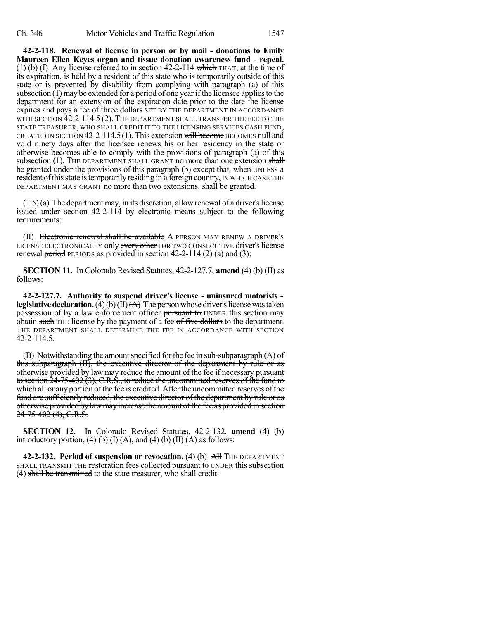**42-2-118. Renewal of license in person or by mail - donations to Emily Maureen Ellen Keyes organ and tissue donation awareness fund - repeal.** (1) (b) (I) Any license referred to in section 42-2-114 which THAT, at the time of its expiration, is held by a resident of this state who is temporarily outside of this state or is prevented by disability from complying with paragraph (a) of this subsection  $(1)$  may be extended for a period of one year if the licensee applies to the department for an extension of the expiration date prior to the date the license expires and pays a fee of three dollars SET BY THE DEPARTMENT IN ACCORDANCE WITH SECTION 42-2-114.5 (2). THE DEPARTMENT SHALL TRANSFER THE FEE TO THE STATE TREASURER, WHO SHALL CREDIT IT TO THE LICENSING SERVICES CASH FUND, CREATED IN SECTION  $42-2-114.5(1)$ . This extension will become BECOMES null and void ninety days after the licensee renews his or her residency in the state or otherwise becomes able to comply with the provisions of paragraph (a) of this subsection (1). THE DEPARTMENT SHALL GRANT no more than one extension shall be granted under the provisions of this paragraph (b) except that, when UNLESS a resident of this state is temporarily residing in a foreign country, IN WHICH CASE THE DEPARTMENT MAY GRANT no more than two extensions. shall be granted.

 $(1.5)$ (a) The department may, in its discretion, allow renewal of a driver's license issued under section 42-2-114 by electronic means subject to the following requirements:

(II) Electronic renewal shall be available A PERSON MAY RENEW A DRIVER'S LICENSE ELECTRONICALLY only every other FOR TWO CONSECUTIVE driver's license renewal period PERIODS as provided in section  $42-2-114$  (2) (a) and (3);

**SECTION 11.** In Colorado Revised Statutes, 42-2-127.7, **amend** (4) (b) (II) as follows:

**42-2-127.7. Authority to suspend driver's license - uninsured motorists legislative declaration.** (4)(b)(II) $(\overrightarrow{A})$  The person whose driver's license was taken possession of by a law enforcement officer pursuant to UNDER this section may obtain such THE license by the payment of a fee of five dollars to the department. THE DEPARTMENT SHALL DETERMINE THE FEE IN ACCORDANCE WITH SECTION 42-2-114.5.

(B) Notwithstanding the amount specified for the fee in sub-subparagraph  $(A)$  of this subparagraph (II), the executive director of the department by rule or as otherwise provided by law may reduce the amount of the fee if necessary pursuant to section 24-75-402 (3), C.R.S., to reduce the uncommitted reserves of the fund to which all or any portion of the fee is credited. After the uncommitted reserves of the fund are sufficiently reduced, the executive director of the department by rule or as otherwise provided by law may increase the amount of the fee as provided in section 24-75-402 (4), C.R.S.

**SECTION 12.** In Colorado Revised Statutes, 42-2-132, **amend** (4) (b) introductory portion, (4) (b)  $(I)$  (A), and (4) (b)  $(II)$  (A) as follows:

**42-2-132. Period of suspension or revocation.** (4) (b) All THE DEPARTMENT SHALL TRANSMIT THE restoration fees collected pursuant to UNDER this subsection (4) shall be transmitted to the state treasurer, who shall credit: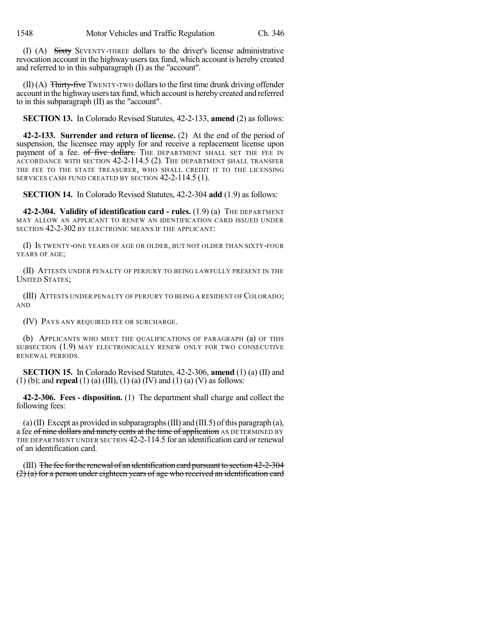(I) (A) Sixty SEVENTY-THREE dollars to the driver's license administrative revocation account in the highway users tax fund, which account is hereby created and referred to in this subparagraph (I) as the "account".

 $(II)$  (A) Thirty-five TWENTY-TWO dollars to the first time drunk driving offender account in the highwayuserstax fund, which account is hereby created and referred to in this subparagraph (II) as the "account".

**SECTION 13.** In Colorado Revised Statutes, 42-2-133, **amend** (2) as follows:

**42-2-133. Surrender and return of license.** (2) At the end of the period of suspension, the licensee may apply for and receive a replacement license upon payment of a fee. of five dollars. THE DEPARTMENT SHALL SET THE FEE IN ACCORDANCE WITH SECTION 42-2-114.5 (2). THE DEPARTMENT SHALL TRANSFER THE FEE TO THE STATE TREASURER, WHO SHALL CREDIT IT TO THE LICENSING SERVICES CASH FUND CREATED BY SECTION 42-2-114.5 (1).

**SECTION 14.** In Colorado Revised Statutes, 42-2-304 **add** (1.9) as follows:

**42-2-304. Validity of identification card - rules.** (1.9) (a) THE DEPARTMENT MAY ALLOW AN APPLICANT TO RENEW AN IDENTIFICATION CARD ISSUED UNDER SECTION  $42$ -2-302 BY ELECTRONIC MEANS IF THE APPLICANT:

(I) IS TWENTY-ONE YEARS OF AGE OR OLDER, BUT NOT OLDER THAN SIXTY-FOUR YEARS OF AGE;

(II) ATTESTS UNDER PENALTY OF PERJURY TO BEING LAWFULLY PRESENT IN THE UNITED STATES;

(III) ATTESTS UNDER PENALTY OF PERJURY TO BEING A RESIDENT OF COLORADO; AND

(IV) PAYS ANY REQUIRED FEE OR SURCHARGE.

(b) APPLICANTS WHO MEET THE QUALIFICATIONS OF PARAGRAPH (a) OF THIS SUBSECTION (1.9) MAY ELECTRONICALLY RENEW ONLY FOR TWO CONSECUTIVE RENEWAL PERIODS.

**SECTION 15.** In Colorado Revised Statutes, 42-2-306, **amend** (1) (a) (II) and (1) (b); and **repeal** (1) (a) (III), (1) (a) (IV) and (1) (a) (V) as follows:

**42-2-306. Fees - disposition.** (1) The department shall charge and collect the following fees:

(a)(II) Except as provided in subparagraphs (III) and (III.5) of this paragraph (a), a fee of nine dollars and ninety cents at the time of application AS DETERMINED BY THE DEPARTMENT UNDER SECTION 42-2-114.5 for an identification card or renewal of an identification card.

(III) The fee for the renewal of an identification card pursuant to section 42-2-304  $(2)$  (a) for a person under eighteen years of age who received an identification card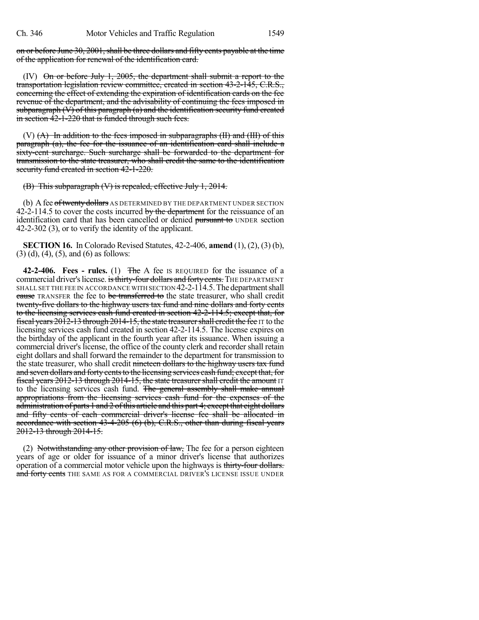on or before June 30, 2001, shall be three dollars and fifty cents payable at the time of the application for renewal of the identification card.

(IV) On or before July 1, 2005, the department shall submit a report to the transportation legislation review committee, created in section 43-2-145, C.R.S., concerning the effect of extending the expiration of identification cards on the fee revenue of the department, and the advisability of continuing the fees imposed in subparagraph (V) of this paragraph (a) and the identification security fund created in section  $\frac{42-1-220}{2}$  that is funded through such fees.

 $(V)$   $(A)$  In addition to the fees imposed in subparagraphs  $(H)$  and  $(H)$  of this paragraph (a), the fee for the issuance of an identification card shall include a sixty-cent surcharge. Such surcharge shall be forwarded to the department for transmission to the state treasurer, who shall credit the same to the identification security fund created in section 42-1-220.

(B) This subparagraph (V) is repealed, effective July 1, 2014.

(b) A fee of twenty dollars AS DETERMINED BY THE DEPARTMENT UNDER SECTION 42-2-114.5 to cover the costs incurred by the department for the reissuance of an identification card that has been cancelled or denied pursuant to UNDER section 42-2-302 (3), or to verify the identity of the applicant.

**SECTION 16.** In Colorado Revised Statutes, 42-2-406, **amend** (1), (2), (3) (b),  $(3)$  (d), (4), (5), and (6) as follows:

**42-2-406. Fees - rules.** (1) The A fee IS REQUIRED for the issuance of a commercial driver's license. is thirty-four dollars and forty cents. THE DEPARTMENT SHALL SET THE FEE IN ACCORDANCE WITH SECTION 42-2-114.5. The department shall cause TRANSFER the fee to be transferred to the state treasurer, who shall credit twenty-five dollars to the highway users tax fund and nine dollars and forty cents to the licensing services cash fund created in section 42-2-114.5; except that, for fiscal years  $20\overline{12}$ -13 through  $2014$ -15, the state treasurer shall credit the fee IT to the licensing services cash fund created in section 42-2-114.5. The license expires on the birthday of the applicant in the fourth year after its issuance. When issuing a commercial driver's license, the office of the county clerk and recorder shall retain eight dollars and shall forward the remainder to the department for transmission to the state treasurer, who shall credit nineteen dollars to the highway users tax fund and seven dollars and forty cents to the licensing services cash fund; except that, for fiscal years 2012-13 through 2014-15, the state treasurer shall credit the amount IT to the licensing services cash fund. The general assembly shall make annual appropriations from the licensing services cash fund for the expenses of the administration of parts 1 and 2 of this article and this part 4; except that eight dollars and fifty cents of each commercial driver's license fee shall be allocated in accordance with section 43-4-205 (6) (b), C.R.S., other than during fiscal years 2012-13 through 2014-15.

(2) Notwithstanding any other provision of law, The fee for a person eighteen years of age or older for issuance of a minor driver's license that authorizes operation of a commercial motor vehicle upon the highways is thirty-four dollars. and forty cents THE SAME AS FOR A COMMERCIAL DRIVER'S LICENSE ISSUE UNDER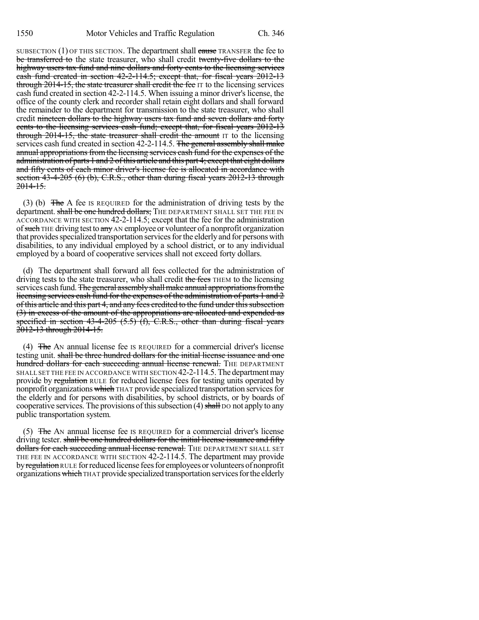SUBSECTION  $(1)$  OF THIS SECTION. The department shall cause TRANSFER the fee to be transferred to the state treasurer, who shall credit twenty-five dollars to the highway users tax fund and nine dollars and forty cents to the licensing services cash fund created in section 42-2-114.5; except that, for fiscal years 2012-13 through 2014-15, the state treasurer shall credit the fee IT to the licensing services cash fund created in section 42-2-114.5. When issuing a minor driver's license, the office of the county clerk and recorder shall retain eight dollars and shall forward the remainder to the department for transmission to the state treasurer, who shall credit nincteen dollars to the highway users tax fund and seven dollars and forty cents to the licensing services cash fund; except that, for fiscal years 2012-13 through 2014-15, the state treasurer shall credit the amount IT to the licensing services cash fund created in section 42-2-114.5. The general assembly shall make annual appropriations from the licensing services eash fund for the expenses of the administration of parts 1 and 2 of this article and this part 4; except that eight dollars and fifty cents of each minor driver's license fee is allocated in accordance with section 43-4-205 (6) (b), C.R.S., other than during fiscal years 2012-13 through 2014-15.

(3) (b) The A fee IS REQUIRED for the administration of driving tests by the department. shall be one hundred dollars; THE DEPARTMENT SHALL SET THE FEE IN ACCORDANCE WITH SECTION 42-2-114.5; except that the fee for the administration of such THE driving test to any AN employee or volunteer of a nonprofit organization that provides specialized transportation services for the elderly and for persons with disabilities, to any individual employed by a school district, or to any individual employed by a board of cooperative services shall not exceed forty dollars.

(d) The department shall forward all fees collected for the administration of driving tests to the state treasurer, who shall credit the fees THEM to the licensing services cash fund. The general assembly shall make annual appropriations from the licensing services cash fund for the expenses of the administration of parts 1 and 2 of this article and this part 4, and any fees credited to the fund under this subsection (3) in excess of the amount of the appropriations are allocated and expended as specified in section  $43-4-205$   $(5.5)$   $(f)$ , C.R.S., other than during fiscal years 2012-13 through 2014-15.

(4)  $\overline{f}$  The AN annual license fee is REQUIRED for a commercial driver's license testing unit. shall be three hundred dollars for the initial license issuance and one hundred dollars for each succeeding annual license renewal. THE DEPARTMENT SHALL SET THE FEE IN ACCORDANCE WITH SECTION 42-2-114.5. The department may provide by regulation RULE for reduced license fees for testing units operated by nonprofit organizations which THAT provide specialized transportation services for the elderly and for persons with disabilities, by school districts, or by boards of cooperative services. The provisions of this subsection  $(4)$  shall DO not apply to any public transportation system.

(5)  $\overline{f}$  The AN annual license fee is REQUIRED for a commercial driver's license driving tester. shall be one hundred dollars for the initial license issuance and fifty dollars for each succeeding annual license renewal. THE DEPARTMENT SHALL SET THE FEE IN ACCORDANCE WITH SECTION 42-2-114.5. The department may provide by regulation RULE for reduced license fees for employees or volunteers of nonprofit organizations which THAT provide specialized transportation services for the elderly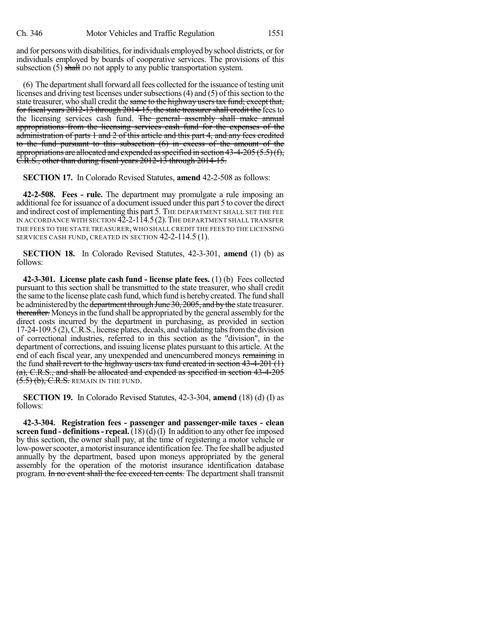and for persons with disabilities, for individuals employed by school districts, or for individuals employed by boards of cooperative services. The provisions of this subsection  $(5)$  shall bo not apply to any public transportation system.

(6) The department shall forward all fees collected for the issuance of testing unit licenses and driving test licenses under subsections (4) and (5) of this section to the state treasurer, who shall credit the same to the highway users tax fund; except that, for fiscal years 2012-13 through 2014-15, the state treasurer shall credit the fees to the licensing services cash fund. The general assembly shall make annual appropriations from the licensing services cash fund for the expenses of the administration of parts 1 and 2 of this article and this part 4, and any fees credited to the fund pursuant to this subsection (6) in excess of the amount of the appropriations are allocated and expended as specified in section  $43-4-205(5.5)(f)$ , C.R.S., other than during fiscal years 2012-13 through 2014-15.

**SECTION 17.** In Colorado Revised Statutes, **amend** 42-2-508 as follows:

**42-2-508. Fees - rule.** The department may promulgate a rule imposing an additional fee for issuance of a document issued under this part 5 to cover the direct and indirect cost of implementing this part 5. THE DEPARTMENT SHALL SET THE FEE IN ACCORDANCE WITH SECTION 42-2-114.5(2). THE DEPARTMENT SHALL TRANSFER THE FEES TO THE STATE TREASURER,WHO SHALL CREDIT THE FEES TO THE LICENSING SERVICES CASH FUND, CREATED IN SECTION 42-2-114.5 (1).

**SECTION 18.** In Colorado Revised Statutes, 42-3-301, **amend** (1) (b) as follows:

**42-3-301. License plate cash fund - license plate fees.** (1) (b) Fees collected pursuant to this section shall be transmitted to the state treasurer, who shall credit the same to the license plate cash fund, which fund is hereby created. The fund shall be administered by the department through June 30, 2005, and by the state treasurer. thereafter. Moneys in the fund shall be appropriated by the general assembly for the direct costs incurred by the department in purchasing, as provided in section 17-24-109.5 (2),C.R.S., license plates, decals, and validating tabsfromthe division of correctional industries, referred to in this section as the "division", in the department of corrections, and issuing license plates pursuant to this article. At the end of each fiscal year, any unexpended and unencumbered moneys remaining in the fund shall revert to the highway users tax fund created in section 43-4-201 (1) (a), C.R.S., and shall be allocated and expended as specified in section 43-4-205  $(5.5)$   $(b)$ , C.R.S. remain in the fund.

**SECTION 19.** In Colorado Revised Statutes, 42-3-304, **amend** (18) (d) (I) as follows:

**42-3-304. Registration fees - passenger and passenger-mile taxes - clean screen fund - definitions - repeal.**  $(18)(d)(I)$  In addition to any other fee imposed by this section, the owner shall pay, at the time of registering a motor vehicle or low-power scooter, a motorist insurance identification fee. The fee shall be adjusted annually by the department, based upon moneys appropriated by the general assembly for the operation of the motorist insurance identification database program. In no event shall the fee exceed ten cents. The department shall transmit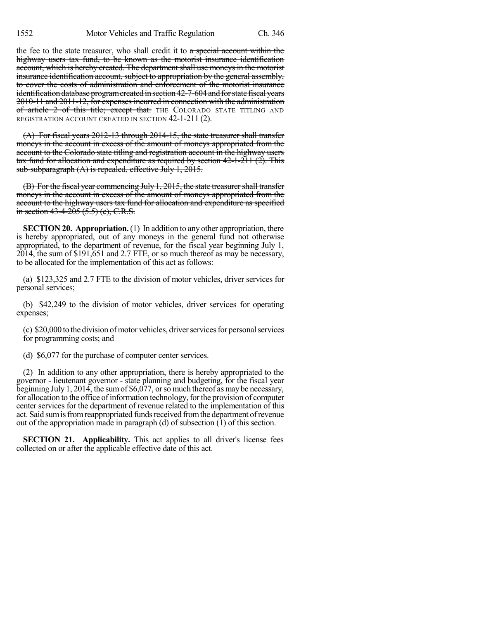the fee to the state treasurer, who shall credit it to  $a$  special account within the highway users tax fund, to be known as the motorist insurance identification account, which is hereby created. The department shall use moneys in the motorist insurance identification account, subject to appropriation by the general assembly, to cover the costs of administration and enforcement of the motorist insurance identification database program created in section 42-7-604 and for state fiscal years 2010-11 and 2011-12, for expenses incurred in connection with the administration of article 2 of this title; except that: THE COLORADO STATE TITLING AND REGISTRATION ACCOUNT CREATED IN SECTION 42-1-211 (2).

(A) For fiscal years 2012-13 through 2014-15, the state treasurer shall transfer moneys in the account in excess of the amount of moneys appropriated from the account to the Colorado state titling and registration account in the highway users tax fund for allocation and expenditure as required by section 42-1-211 (2). This sub-subparagraph (A) is repealed, effective July 1, 2015.

(B) For the fiscal year commencing July 1, 2015, the state treasurershall transfer moneys in the account in excess of the amount of moneys appropriated from the account to the highway users tax fund for allocation and expenditure as specified in section  $43-4-205$   $(5.5)$  (c), C.R.S.

**SECTION 20. Appropriation.** (1) In addition to any other appropriation, there is hereby appropriated, out of any moneys in the general fund not otherwise appropriated, to the department of revenue, for the fiscal year beginning July 1, 2014, the sum of \$191,651 and 2.7 FTE, or so much thereof as may be necessary, to be allocated for the implementation of this act as follows:

(a) \$123,325 and 2.7 FTE to the division of motor vehicles, driver services for personal services;

(b) \$42,249 to the division of motor vehicles, driver services for operating expenses;

 $(c)$  \$20,000 to the division of motor vehicles, driver services for personal services for programming costs; and

(d) \$6,077 for the purchase of computer center services.

(2) In addition to any other appropriation, there is hereby appropriated to the governor - lieutenant governor - state planning and budgeting, for the fiscal year beginning July 1, 2014, the sum of  $$6,077$ , or so much thereof as may be necessary, for allocation to the office of information technology, for the provision of computer center services for the department of revenue related to the implementation of this act. Said sum is from reappropriated funds received from the department of revenue out of the appropriation made in paragraph (d) of subsection (1) of this section.

**SECTION 21. Applicability.** This act applies to all driver's license fees collected on or after the applicable effective date of this act.